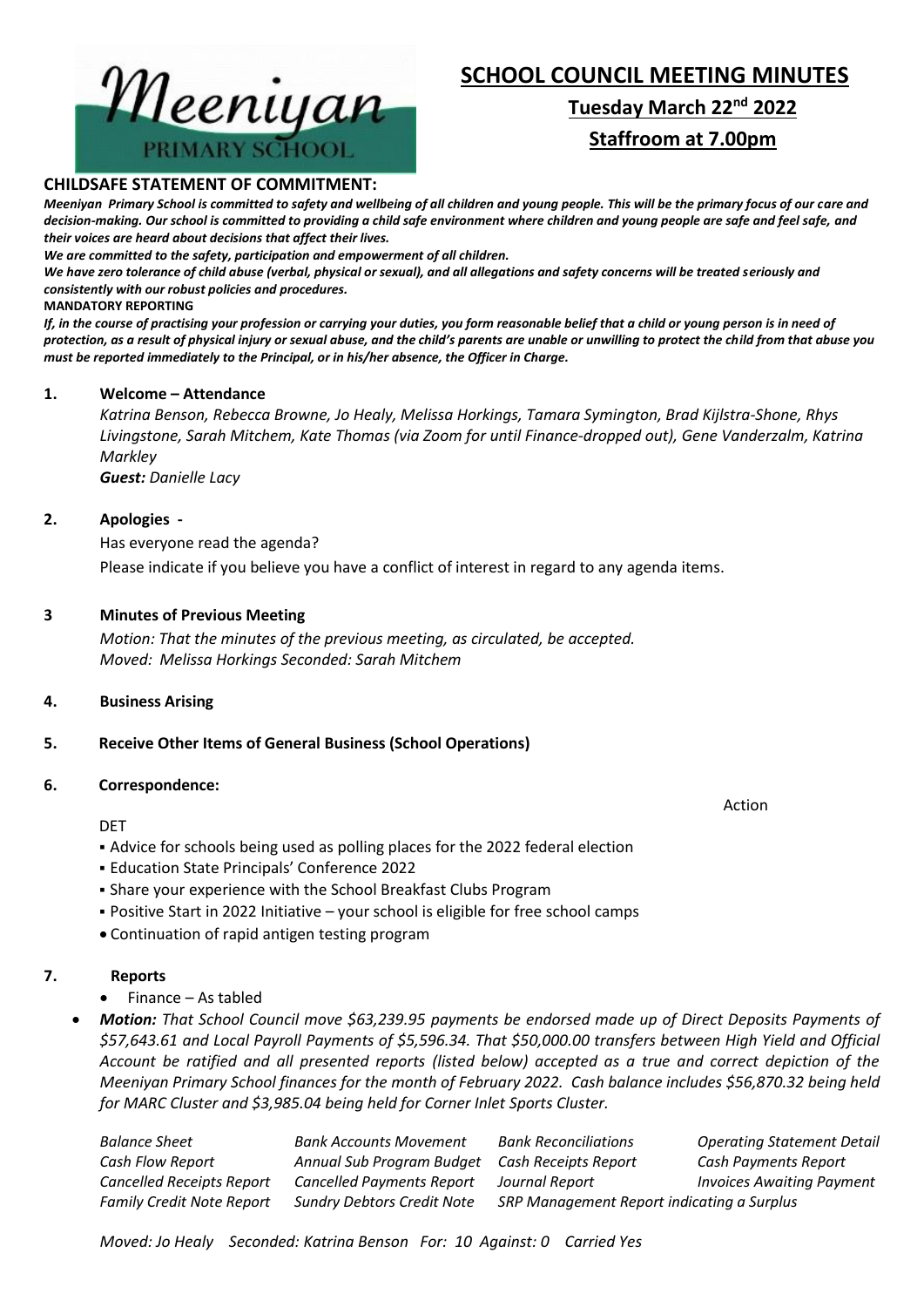#### **CHILDSAFE STATEMENT OF COMMITMENT:**

*Meeniyan Primary School is committed to safety and wellbeing of all children and young people. This will be the primary focus of our care and decision-making. Our school is committed to providing a child safe environment where children and young people are safe and feel safe, and their voices are heard about decisions that affect their lives.*

*We are committed to the safety, participation and empowerment of all children.*

*We have zero tolerance of child abuse (verbal, physical or sexual), and all allegations and safety concerns will be treated seriously and consistently with our robust policies and procedures.*

#### **MANDATORY REPORTING**

*If, in the course of practising your profession or carrying your duties, you form reasonable belief that a child or young person is in need of protection, as a result of physical injury or sexual abuse, and the child's parents are unable or unwilling to protect the child from that abuse you must be reported immediately to the Principal, or in his/her absence, the Officer in Charge.*

#### **1. Welcome – Attendance**

*Katrina Benson, Rebecca Browne, Jo Healy, Melissa Horkings, Tamara Symington, Brad Kijlstra-Shone, Rhys Livingstone, Sarah Mitchem, Kate Thomas (via Zoom for until Finance-dropped out), Gene Vanderzalm, Katrina Markley*

*Guest: Danielle Lacy*

#### **2. Apologies -**

Has everyone read the agenda? Please indicate if you believe you have a conflict of interest in regard to any agenda items.

#### **3 Minutes of Previous Meeting**

*Motion: That the minutes of the previous meeting, as circulated, be accepted. Moved: Melissa Horkings Seconded: Sarah Mitchem*

#### **4. Business Arising**

# **5. Receive Other Items of General Business (School Operations)**

#### **6. Correspondence:**

#### DET

- Advice for schools being used as polling places for the 2022 federal election
- Education State Principals' Conference 2022
- **.** Share your experience with the School Breakfast Clubs Program
- Positive Start in 2022 Initiative your school is eligible for free school camps
- Continuation of rapid antigen testing program

# **7. Reports**

- Finance As tabled
- *Motion: That School Council move \$63,239.95 payments be endorsed made up of Direct Deposits Payments of \$57,643.61 and Local Payroll Payments of \$5,596.34. That \$50,000.00 transfers between High Yield and Official Account be ratified and all presented reports (listed below) accepted as a true and correct depiction of the Meeniyan Primary School finances for the month of February 2022. Cash balance includes \$56,870.32 being held for MARC Cluster and \$3,985.04 being held for Corner Inlet Sports Cluster.*

| <b>Balance Sheet</b>             | <b>Bank Accounts Movement</b>                  | <b>Bank Reconciliations</b>                | <b>Operating Statement Detail</b> |
|----------------------------------|------------------------------------------------|--------------------------------------------|-----------------------------------|
| Cash Flow Report                 | Annual Sub Program Budget Cash Receipts Report |                                            | Cash Payments Report              |
| <b>Cancelled Receipts Report</b> | <b>Cancelled Payments Report</b>               | Journal Report                             | <b>Invoices Awaiting Payment</b>  |
| <b>Family Credit Note Report</b> | <b>Sundry Debtors Credit Note</b>              | SRP Management Report indicating a Surplus |                                   |

# **SCHOOL COUNCIL MEETING MINUTES Tuesday March 22nd 2022**

# **Staffroom at 7.00pm**



Action

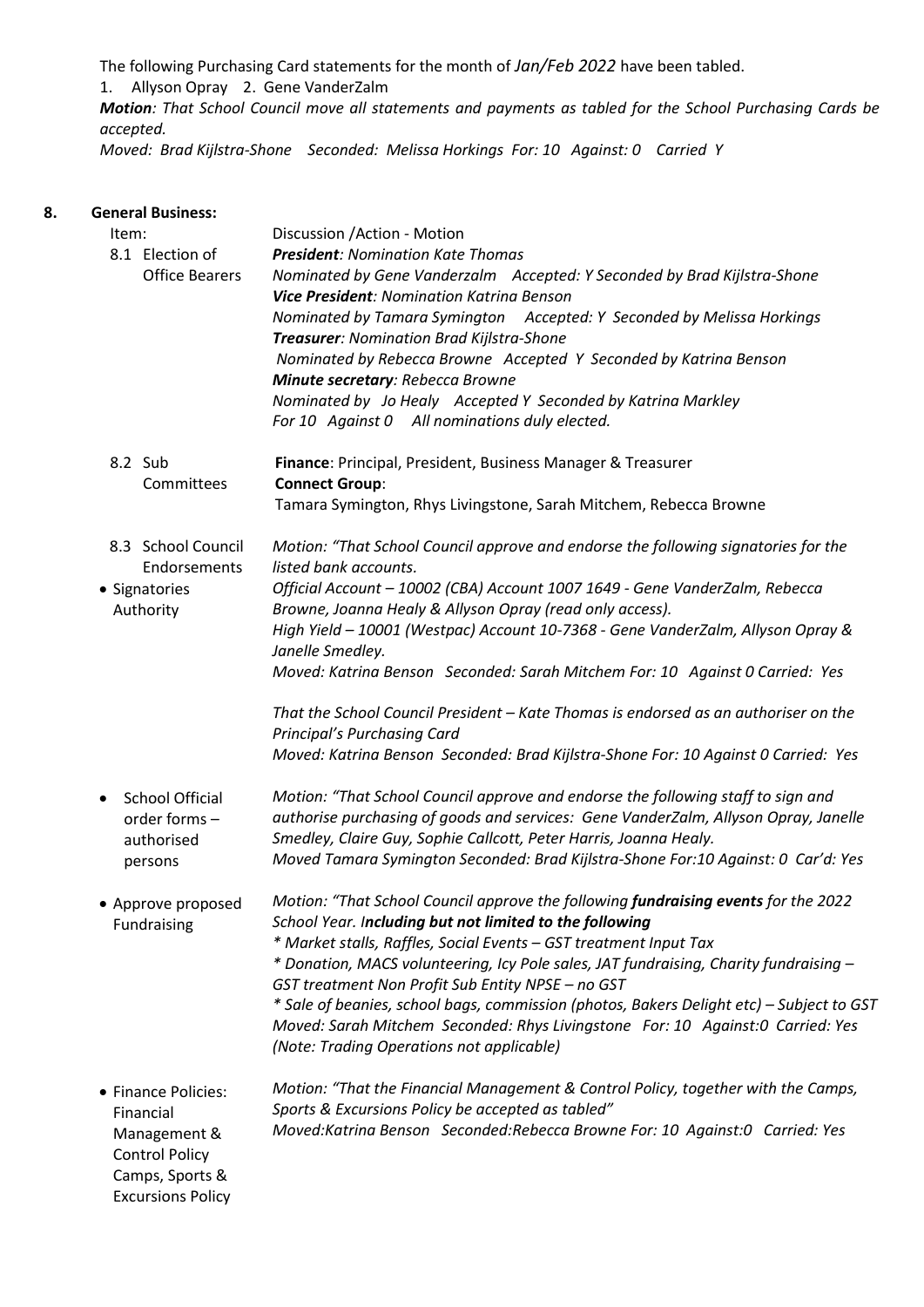The following Purchasing Card statements for the month of *Jan/Feb 2022* have been tabled.

1. Allyson Opray 2. Gene VanderZalm

*Motion: That School Council move all statements and payments as tabled for the School Purchasing Cards be accepted.* 

*Moved: Brad Kijlstra-Shone Seconded: Melissa Horkings For: 10 Against: 0 Carried Y*

| 8. | <b>General Business:</b>            |                                                                                          |  |  |  |
|----|-------------------------------------|------------------------------------------------------------------------------------------|--|--|--|
|    | Item:                               | Discussion / Action - Motion                                                             |  |  |  |
|    | 8.1 Election of                     | <b>President: Nomination Kate Thomas</b>                                                 |  |  |  |
|    | <b>Office Bearers</b>               | Nominated by Gene Vanderzalm Accepted: Y Seconded by Brad Kijlstra-Shone                 |  |  |  |
|    |                                     | <b>Vice President: Nomination Katrina Benson</b>                                         |  |  |  |
|    |                                     | Nominated by Tamara Symington Accepted: Y Seconded by Melissa Horkings                   |  |  |  |
|    |                                     | Treasurer: Nomination Brad Kijlstra-Shone                                                |  |  |  |
|    |                                     | Nominated by Rebecca Browne Accepted Y Seconded by Katrina Benson                        |  |  |  |
|    |                                     | Minute secretary: Rebecca Browne                                                         |  |  |  |
|    |                                     | Nominated by Jo Healy Accepted Y Seconded by Katrina Markley                             |  |  |  |
|    |                                     | For 10 Against 0 All nominations duly elected.                                           |  |  |  |
|    |                                     |                                                                                          |  |  |  |
|    | 8.2 Sub                             | Finance: Principal, President, Business Manager & Treasurer                              |  |  |  |
|    | Committees                          | <b>Connect Group:</b>                                                                    |  |  |  |
|    |                                     | Tamara Symington, Rhys Livingstone, Sarah Mitchem, Rebecca Browne                        |  |  |  |
|    |                                     |                                                                                          |  |  |  |
|    | 8.3 School Council                  | Motion: "That School Council approve and endorse the following signatories for the       |  |  |  |
|    | Endorsements                        | listed bank accounts.                                                                    |  |  |  |
|    | • Signatories                       | Official Account - 10002 (CBA) Account 1007 1649 - Gene VanderZalm, Rebecca              |  |  |  |
|    | Authority                           | Browne, Joanna Healy & Allyson Opray (read only access).                                 |  |  |  |
|    |                                     | High Yield - 10001 (Westpac) Account 10-7368 - Gene VanderZalm, Allyson Opray &          |  |  |  |
|    |                                     | Janelle Smedley.                                                                         |  |  |  |
|    |                                     | Moved: Katrina Benson Seconded: Sarah Mitchem For: 10 Against 0 Carried: Yes             |  |  |  |
|    |                                     |                                                                                          |  |  |  |
|    |                                     | That the School Council President - Kate Thomas is endorsed as an authoriser on the      |  |  |  |
|    |                                     | <b>Principal's Purchasing Card</b>                                                       |  |  |  |
|    |                                     | Moved: Katrina Benson Seconded: Brad Kijlstra-Shone For: 10 Against 0 Carried: Yes       |  |  |  |
|    |                                     |                                                                                          |  |  |  |
|    | <b>School Official</b><br>$\bullet$ | Motion: "That School Council approve and endorse the following staff to sign and         |  |  |  |
|    | order forms -                       | authorise purchasing of goods and services: Gene VanderZalm, Allyson Opray, Janelle      |  |  |  |
|    | authorised                          | Smedley, Claire Guy, Sophie Callcott, Peter Harris, Joanna Healy.                        |  |  |  |
|    | persons                             | Moved Tamara Symington Seconded: Brad Kijlstra-Shone For:10 Against: 0 Car'd: Yes        |  |  |  |
|    |                                     |                                                                                          |  |  |  |
|    | $\bullet$ Approve proposed          | Motion: "That School Council approve the following fundraising events for the 2022       |  |  |  |
|    | Fundraising                         | School Year. Including but not limited to the following                                  |  |  |  |
|    |                                     | * Market stalls, Raffles, Social Events - GST treatment Input Tax                        |  |  |  |
|    |                                     | * Donation, MACS volunteering, Icy Pole sales, JAT fundraising, Charity fundraising -    |  |  |  |
|    |                                     | GST treatment Non Profit Sub Entity NPSE - no GST                                        |  |  |  |
|    |                                     | * Sale of beanies, school bags, commission (photos, Bakers Delight etc) – Subject to GST |  |  |  |
|    |                                     | Moved: Sarah Mitchem Seconded: Rhys Livingstone For: 10 Against:0 Carried: Yes           |  |  |  |
|    |                                     | (Note: Trading Operations not applicable)                                                |  |  |  |
|    |                                     |                                                                                          |  |  |  |
|    | • Finance Policies:                 | Motion: "That the Financial Management & Control Policy, together with the Camps,        |  |  |  |
|    | Financial                           | Sports & Excursions Policy be accepted as tabled"                                        |  |  |  |
|    | Management &                        | Moved:Katrina Benson Seconded:Rebecca Browne For: 10 Against:0 Carried: Yes              |  |  |  |
|    | <b>Control Policy</b>               |                                                                                          |  |  |  |
|    | Camps, Sports &                     |                                                                                          |  |  |  |
|    | <b>Excursions Policy</b>            |                                                                                          |  |  |  |